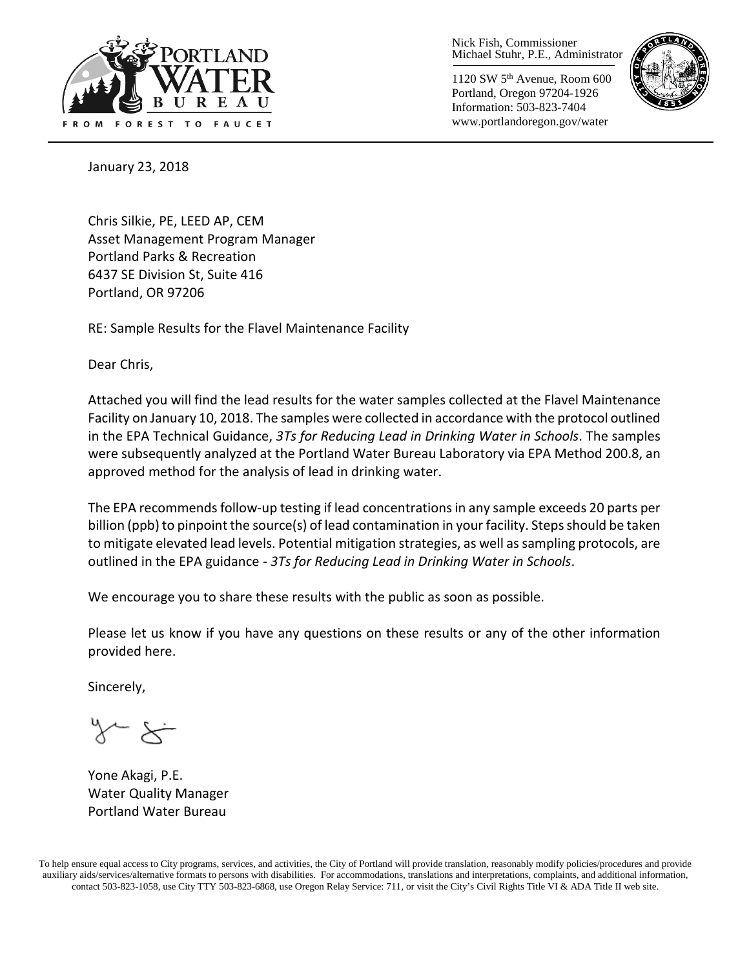

Nick Fish, Commissioner Michael Stuhr, P.E., Administrator

1120 SW 5th Avenue, Room 600 Portland, Oregon 97204-1926 Information: 503-823-7404 www.portlandoregon.gov/water



January 23, 2018

Chris Silkie, PE, LEED AP, CEM Asset Management Program Manager Portland Parks & Recreation 6437 SE Division St, Suite 416 Portland, OR 97206

RE: Sample Results for the Flavel Maintenance Facility

Dear Chris,

Attached you will find the lead results for the water samples collected at the Flavel Maintenance Facility on January 10, 2018. The samples were collected in accordance with the protocol outlined in the EPA Technical Guidance, *3Ts for Reducing Lead in Drinking Water in Schools*. The samples were subsequently analyzed at the Portland Water Bureau Laboratory via EPA Method 200.8, an approved method for the analysis of lead in drinking water.

The EPA recommends follow-up testing if lead concentrations in any sample exceeds 20 parts per billion (ppb) to pinpoint the source(s) of lead contamination in your facility. Steps should be taken to mitigate elevated lead levels. Potential mitigation strategies, as well as sampling protocols, are outlined in the EPA guidance - *3Ts for Reducing Lead in Drinking Water in Schools*.

We encourage you to share these results with the public as soon as possible.

Please let us know if you have any questions on these results or any of the other information provided here.

Sincerely,

Yone Akagi, P.E. Water Quality Manager Portland Water Bureau

To help ensure equal access to City programs, services, and activities, the City of Portland will provide translation, reasonably modify policies/procedures and provide auxiliary aids/services/alternative formats to persons with disabilities. For accommodations, translations and interpretations, complaints, and additional information, contact 503-823-1058, use City TTY 503-823-6868, use Oregon Relay Service: 711, or visi[t the City's Civil Rights Title VI & ADA Title II web site.](http://www.portlandoregon.gov/oehr/66458)